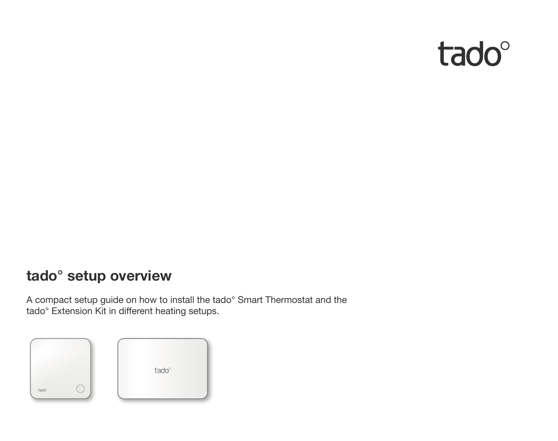

# **tado° setup overview**

A compact setup guide on how to install the tado° Smart Thermostat and the tado° Extension Kit in different heating setups.

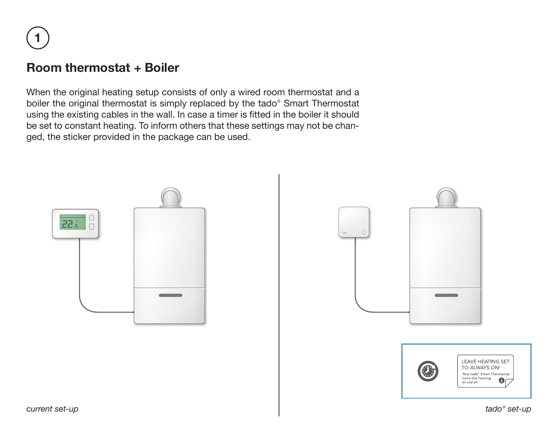**1**

## **Room thermostat + Boiler**

When the original heating setup consists of only a wired room thermostat and a boiler the original thermostat is simply replaced by the tado° Smart Thermostat using the existing cables in the wall. In case a timer is fitted in the boiler it should be set to constant heating. To inform others that these settings may not be changed, the sticker provided in the package can be used.



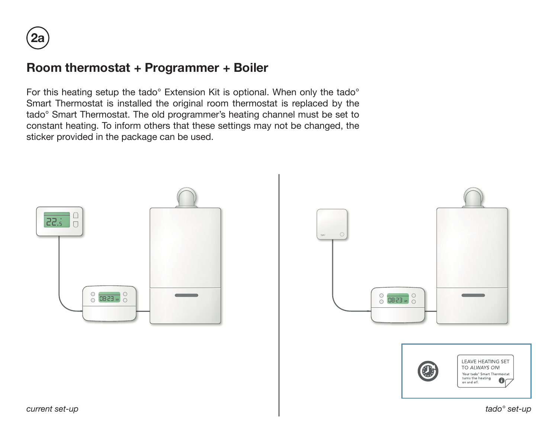## **Room thermostat + Programmer + Boiler**

For this heating setup the tado° Extension Kit is optional. When only the tado° Smart Thermostat is installed the original room thermostat is replaced by the tado° Smart Thermostat. The old programmer's heating channel must be set to constant heating. To inform others that these settings may not be changed, the sticker provided in the package can be used.



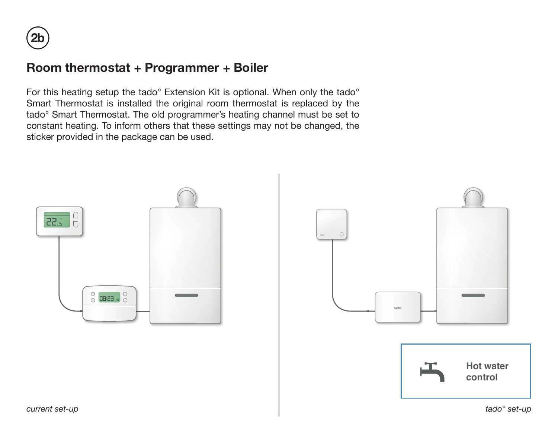### **Room thermostat + Programmer + Boiler**

For this heating setup the tado° Extension Kit is optional. When only the tado° Smart Thermostat is installed the original room thermostat is replaced by the tado° Smart Thermostat. The old programmer's heating channel must be set to constant heating. To inform others that these settings may not be changed, the sticker provided in the package can be used.

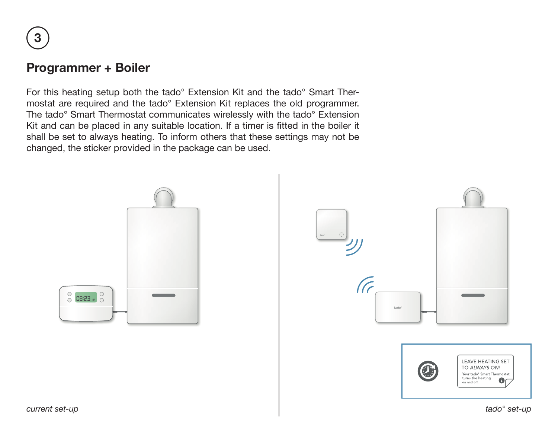**3**

#### **Programmer + Boiler**

For this heating setup both the tado° Extension Kit and the tado° Smart Thermostat are required and the tado° Extension Kit replaces the old programmer. The tado° Smart Thermostat communicates wirelessly with the tado° Extension Kit and can be placed in any suitable location. If a timer is fitted in the boiler it shall be set to always heating. To inform others that these settings may not be changed, the sticker provided in the package can be used.

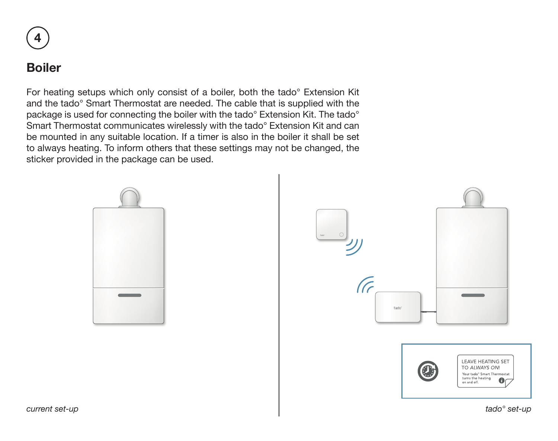

### **Boiler**

For heating setups which only consist of a boiler, both the tado° Extension Kit and the tado° Smart Thermostat are needed. The cable that is supplied with the package is used for connecting the boiler with the tado° Extension Kit. The tado° Smart Thermostat communicates wirelessly with the tado° Extension Kit and can be mounted in any suitable location. If a timer is also in the boiler it shall be set to always heating. To inform others that these settings may not be changed, the sticker provided in the package can be used.



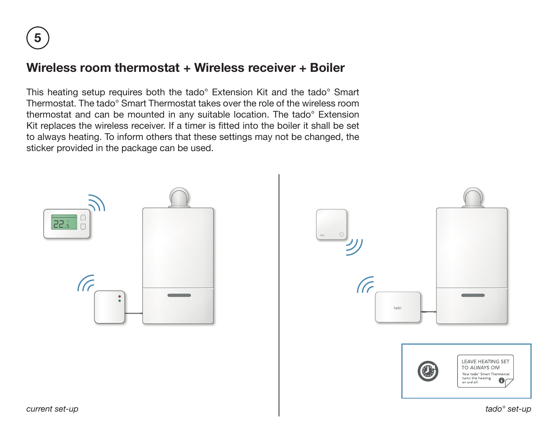### **Wireless room thermostat + Wireless receiver + Boiler**

This heating setup requires both the tado° Extension Kit and the tado° Smart Thermostat. The tado° Smart Thermostat takes over the role of the wireless room thermostat and can be mounted in any suitable location. The tado° Extension Kit replaces the wireless receiver. If a timer is fitted into the boiler it shall be set to always heating. To inform others that these settings may not be changed, the sticker provided in the package can be used.

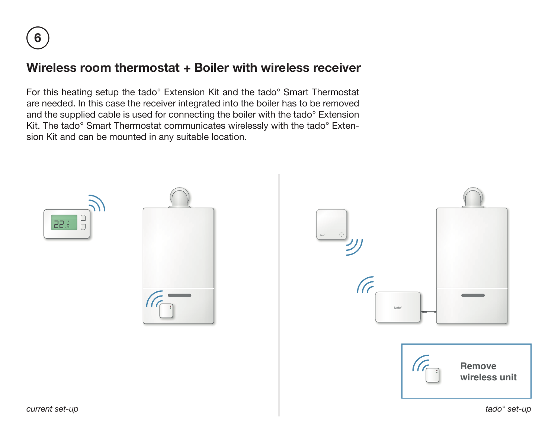### **Wireless room thermostat + Boiler with wireless receiver**

For this heating setup the tado° Extension Kit and the tado° Smart Thermostat are needed. In this case the receiver integrated into the boiler has to be removed and the supplied cable is used for connecting the boiler with the tado° Extension Kit. The tado° Smart Thermostat communicates wirelessly with the tado° Extension Kit and can be mounted in any suitable location.





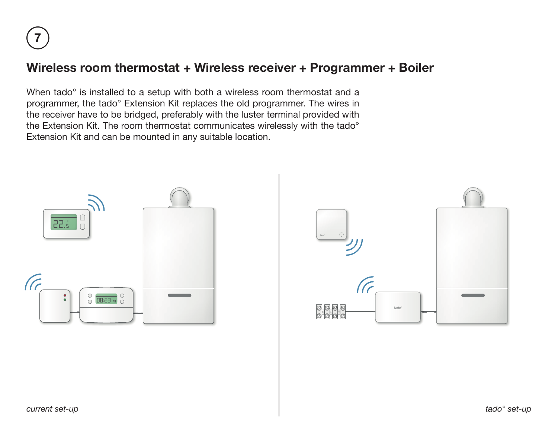### **Wireless room thermostat + Wireless receiver + Programmer + Boiler**

When tado° is installed to a setup with both a wireless room thermostat and a programmer, the tado° Extension Kit replaces the old programmer. The wires in the receiver have to be bridged, preferably with the luster terminal provided with the Extension Kit. The room thermostat communicates wirelessly with the tado° Extension Kit and can be mounted in any suitable location.